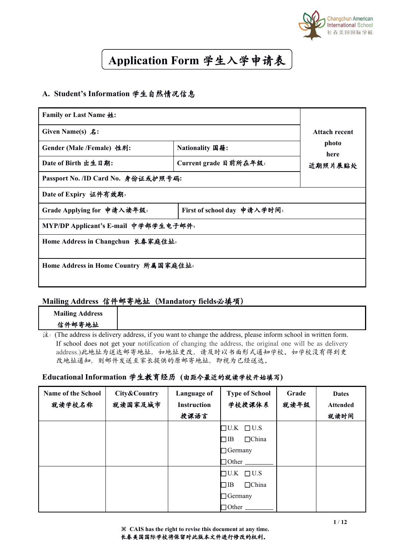

## **Application Form** 学生入学申请表

## **A. Student's Information** 学生自然情况信息

| <b>Family or Last Name 姓:</b>         |                             |               |
|---------------------------------------|-----------------------------|---------------|
| Given Name(s) $\hat{\mathcal{Z}}$ :   |                             | Attach recent |
| Gender (Male /Female) 性别:             | Nationality 国籍:             | photo<br>here |
| Date of Birth 出生日期:                   | Current grade 目前所在年级:       | 近期照片展贴处       |
| Passport No. /ID Card No. 身份证或护照号码:   |                             |               |
| Date of Expiry 证件有效期:                 |                             |               |
| Grade Applying for 申请入读年级:            | First of school day 申请入学时间: |               |
| MYP/DP Applicant's E-mail 中学部学生电子邮件:  |                             |               |
| Home Address in Changchun 长春家庭住址:     |                             |               |
| Home Address in Home Country 所属国家庭住址: |                             |               |

#### **Mailing Address** 信件邮寄地址(**Mandatory fields**必填项)

| <b>Mailing Address</b> |                                                                                                                                  |
|------------------------|----------------------------------------------------------------------------------------------------------------------------------|
| 信件邮寄地址                 |                                                                                                                                  |
|                        | $\hat{\mathcal{F}}$ : (The address is delivery address, if you want to change the address, please inform school in written form. |
|                        | If school does not get your notification of changing the address, the original one will be as delivery                           |
|                        | address.)此地扯为送达邮寄地址, 如地址更改, 请及时以书面形式通知学校。如学校没有得到更                                                                                |

#### **Educational Information** 学生教育经历 **(**由距今最近的就读学校开始填写**)**

改地址通知,则邮件发送至家长提供的原邮寄地址,即视为已经送达。

| <b>Name of the School</b><br>就读学校名称 | City&Country<br>就读国家及城市 | Language of<br><b>Instruction</b> | <b>Type of School</b><br>学校授课体系 | Grade<br>就读年级 | <b>Dates</b><br><b>Attended</b> |
|-------------------------------------|-------------------------|-----------------------------------|---------------------------------|---------------|---------------------------------|
|                                     |                         | 授课语言                              |                                 |               | 就读时间                            |
|                                     |                         |                                   | $\Box$ U.K $\Box$ U.S           |               |                                 |
|                                     |                         |                                   | $\Box$ China<br>$\Box$ IB       |               |                                 |
|                                     |                         |                                   | $\Box$ Germany                  |               |                                 |
|                                     |                         |                                   | $\Box$ Other                    |               |                                 |
|                                     |                         |                                   | $\Box$ U.K $\Box$ U.S           |               |                                 |
|                                     |                         |                                   | $\Box$ China<br>$\Box$ IB       |               |                                 |
|                                     |                         |                                   | $\Box$ Germany                  |               |                                 |
|                                     |                         |                                   | $\Box$ Other $\Box$             |               |                                 |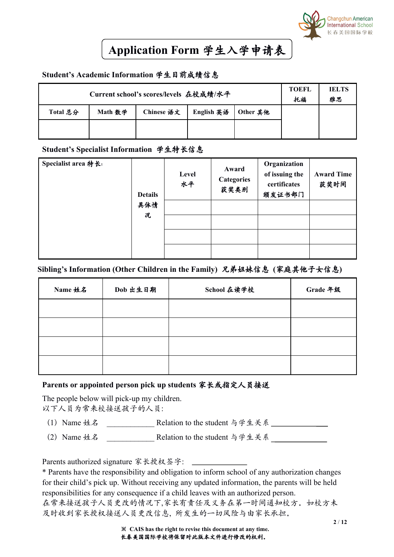

## **Application Form** 学生入学申请表

#### **Student's Academic Information** 学生目前成绩信息

|          |         | Current school's scores/levels 在校成绩/水平 |            |          | <b>TOEFL</b><br>托福 | <b>IELTS</b><br>雅思 |
|----------|---------|----------------------------------------|------------|----------|--------------------|--------------------|
| Total 总分 | Math 数学 | Chinese 语文                             | English 英语 | Other 其他 |                    |                    |
|          |         |                                        |            |          |                    |                    |

#### **Student's Specialist Information** 学生特长信息

| Specialist area 特长: | <b>Details</b><br>具体情 | Level<br>水平 | Award<br><b>Categories</b><br>获奖类别 | Organization<br>of issuing the<br>certificates<br>颁发证书部门 | <b>Award Time</b><br>获奖时间 |
|---------------------|-----------------------|-------------|------------------------------------|----------------------------------------------------------|---------------------------|
|                     | 况                     |             |                                    |                                                          |                           |

#### **Sibling's Information (Other Children in the Family)** 兄弟姐妹信息 **(**家庭其他子女信息**)**

| Name 姓名 | Dob 出生日期 | School 在读学校 | Grade 年级 |
|---------|----------|-------------|----------|
|         |          |             |          |
|         |          |             |          |
|         |          |             |          |
|         |          |             |          |

#### **Parents or appointed person pick up students** 家长或指定人员接送

The people below will pick-up my children. 以下人员为常来校接送孩子的人员:

- (1) Name 姓名 Relation to the student 与学生关系
- (2) Name 姓名 **Relation to the student 与学生关系**

Parents authorized signature 家长授权签字:

\* Parents have the responsibility and obligation to inform school of any authorization changes for their child's pick up. Without receiving any updated information, the parents will be held responsibilities for any consequence if a child leaves with an authorized person. 在常来接送孩子人员更改的情况下,家长有责任及义务在第一时间通知校方。如校方未 及时收到家长授权接送人员更改信息, 所发生的一切风险与由家长承担。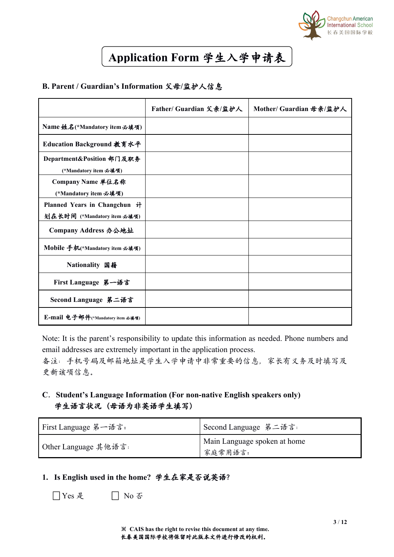

# **Application Form** 学生入学申请表

#### **B. Parent / Guardian's Information** 父母**/**监护人信息

|                                                             | Father/ Guardian 父亲/监护人 | Mother/ Guardian 母亲/监护人 |
|-------------------------------------------------------------|-------------------------|-------------------------|
| Name 姓名(*Mandatory item 必填项)                                |                         |                         |
| Education Background 教育水平                                   |                         |                         |
| Department&Position 部门及职务<br>(*Mandatory item 必填项)          |                         |                         |
| Company Name 单位名称<br>(*Mandatory item 必填项)                  |                         |                         |
| Planned Years in Changchun 计<br>划在长时间 (*Mandatory item 必填项) |                         |                         |
| Company Address 办公地址                                        |                         |                         |
| Mobile 手机(*Mandatory item 必填项)                              |                         |                         |
| Nationality 国籍                                              |                         |                         |
| First Language 第一语言                                         |                         |                         |
| Second Language 第二语言                                        |                         |                         |
| E-mail 电子邮件(*Mandatory item 必填项)                            |                         |                         |

Note: It is the parent's responsibility to update this information as needed. Phone numbers and email addresses are extremely important in the application process.

备注:手机号码及邮箱地址是学生入学申请中非常重要的信息,家长有义务及时填写及 更新该项信息。

## **C**.**Student's Language Information (Fornon-native English speakers only)** 学生语言状况(母语为非英语学生填写)

| First Language 第一语言: | 「Second Language 第二语言:       |
|----------------------|------------------------------|
|                      | Main Language spoken at home |
| Other Language 其他语言: | 家庭常用语言:                      |

### **1. Is English used in the home?** 学生在家是否说英语?

| □ Yes 是 | $\Box$ No 否 |  |  |
|---------|-------------|--|--|
|---------|-------------|--|--|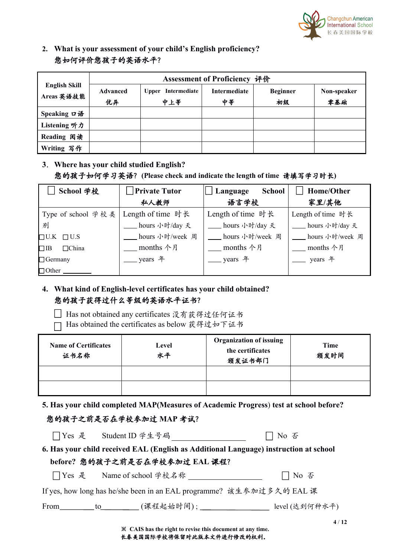

**2. What is your assessment of your child's English proficiency?** 您如何评价您孩子的英语水平?

|                                    |                | Assessment of Proficiency 评价 |                    |                       |                    |  |  |
|------------------------------------|----------------|------------------------------|--------------------|-----------------------|--------------------|--|--|
| <b>English Skill</b><br>Areas 英语技能 | Advanced<br>优异 | Upper Intermediate<br>中上等    | Intermediate<br>中等 | <b>Beginner</b><br>初级 | Non-speaker<br>零基础 |  |  |
| Speaking ロ语                        |                |                              |                    |                       |                    |  |  |
| Listening 听力                       |                |                              |                    |                       |                    |  |  |
| Reading 阅读                         |                |                              |                    |                       |                    |  |  |
| Writing 写作                         |                |                              |                    |                       |                    |  |  |

**3**.**Where has your child studied English?** 您的孩子如何学习英语?**(Please check and indicate the length of time** 请填写学习时长**)**

| School 学校                 | <b>Private Tutor</b> | <b>School</b><br>Language | Home/Other        |
|---------------------------|----------------------|---------------------------|-------------------|
|                           | 私人教师                 | 语言学校                      | 家里/其他             |
| Type of school 学校类        | Length of time 时长    | Length of time 时长         | Length of time 时长 |
| 别                         | hours 小时/day 夭       | hours 小时/day 夭            | hours 小时/day 夭    |
| $\Box$ U.K $\Box$ U.S     | hours 小时/week 周      | hours 小时/week 周           | hours 小时/week 周   |
| $\Box$ IB<br>$\Box$ China | months 个月            | months 个月                 | months 个月         |
| $\Box$ Germany            | years 年              | years 年                   | years 年           |
| $\Box$ Other              |                      |                           |                   |

**4. What kind of English-level certificates has your child obtained?** 您的孩子获得过什么等级的英语水平证书?

Has not obtained any certificates 没有获得过任何证书

□ Has obtained the certificates as below 获得过如下证书

| <b>Name of Certificates</b><br>证书名称 | Level<br>水平 | <b>Organization of issuing</b><br>the certificates<br>颁发证书部门 | Time<br>颁发时间 |  |
|-------------------------------------|-------------|--------------------------------------------------------------|--------------|--|
|                                     |             |                                                              |              |  |
|                                     |             |                                                              |              |  |

**5. Has your child completed MAP(Measures ofAcademic Progress**) **test at school before?**

| 您的孩子之前是否在学校参加过 MAP 考试?                                                                |        |
|---------------------------------------------------------------------------------------|--------|
| □Yes 是 Student ID 学生号码                                                                | │ No 否 |
| 6. Has your child received EAL (English as Additional Language) instruction at school |        |
| before? 您的孩子之前是否在学校参加过 EAL 课程?                                                        |        |
| □ Yes 是 Name of school 学校名称                                                           | □ No 否 |
| If yes, how long has he/she been in an EAL programme? 该生参加过多久的 EAL 课                  |        |
| From________ to________(课程起始时间); _________________ level (达到何种水平)                     |        |
|                                                                                       | 4/12   |

※ **CAIS has the right torevise this document at any time.** 长春美国国际学校将保留对此版本文件进行修改的权利。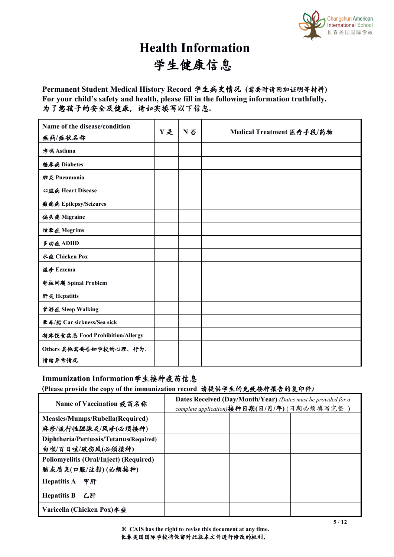

# **Health Information** 学生健康信息

#### **Permanent Student Medical History Record** 学生病史情况 **(**需要时请附加证明等材料**) For your child's safety and health, please fill in the following information truthfully.** 为了您孩子的安全及健康,请如实填写以下信息**.**

| Name of the disease/condition   | Y是 |    |                           |
|---------------------------------|----|----|---------------------------|
| 疾病/症状名称                         |    | N否 | Medical Treatment 医疗手段/药物 |
| 哮喘 Asthma                       |    |    |                           |
| 糖尿病 Diabetes                    |    |    |                           |
| 肺炎 Pneumonia                    |    |    |                           |
| 心脏病 Heart Disease               |    |    |                           |
| 癫痫病 Epilepsy/Seizures           |    |    |                           |
| 偏头痛 Migraine                    |    |    |                           |
| 眩晕症 Megrims                     |    |    |                           |
| 多动症ADHD                         |    |    |                           |
| 水痘 Chicken Pox                  |    |    |                           |
| 湿疹 Eczema                       |    |    |                           |
| 脊柱问题 Spinal Problem             |    |    |                           |
| 肝炎 Hepatitis                    |    |    |                           |
| 梦游症 Sleep Walking               |    |    |                           |
| 晕车/船 Car sickness/Sea sick      |    |    |                           |
| 特殊饮食禁忌 Food Prohibition/Allergy |    |    |                           |
| Others 其他需要告知学校的心理、行为、          |    |    |                           |
| 情绪异常情况                          |    |    |                           |

#### **Immunization Information**学生接种疫苗信息

(**Please provide the copy of the immunization record** 请提供学生的免疫接种报告的复印件*)*

| Name of Vaccination 疫苗名称               | <b>Dates Received (Day/Month/Year)</b> (Dates must be provided for a |                                            |  |  |
|----------------------------------------|----------------------------------------------------------------------|--------------------------------------------|--|--|
|                                        |                                                                      | complete application)接种日期(日/月/年)(日期必须填写完整) |  |  |
| Measles/Mumps/Rubella(Required)        |                                                                      |                                            |  |  |
| 麻疹/流行性腮腺炎/风疹(必须接种)                     |                                                                      |                                            |  |  |
| Diphtheria/Pertussis/Tetanus(Required) |                                                                      |                                            |  |  |
| 白喉/百日咳/破伤风(必须接种)                       |                                                                      |                                            |  |  |
| Poliomyelitis (Oral/Inject) (Required) |                                                                      |                                            |  |  |
| 脑灰质炎(口服/注射)(必须接种)                      |                                                                      |                                            |  |  |
| 甲肝<br><b>Hepatitis A</b>               |                                                                      |                                            |  |  |
| <b>Hepatitis B</b> 乙肝                  |                                                                      |                                            |  |  |
| Varicella (Chicken Pox)水痘              |                                                                      |                                            |  |  |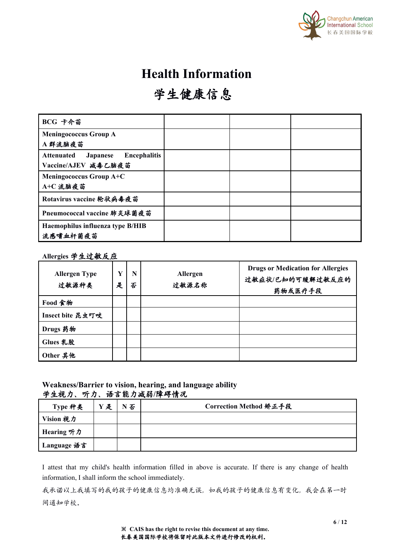

# **Health Information**

# 学生健康信息

| BCG 卡介苗                                              |  |  |
|------------------------------------------------------|--|--|
| <b>Meningococcus Group A</b>                         |  |  |
| A群流脑疫苗                                               |  |  |
| <b>Encephalitis</b><br><b>Attenuated</b><br>Japanese |  |  |
| Vaccine/AJEV 减毒乙脑疫苗                                  |  |  |
| Meningococcus Group $A+C$                            |  |  |
| A+C 流脑疫苗                                             |  |  |
| Rotavirus vaccine 轮状病毒疫苗                             |  |  |
| Pneumococcal vaccine 肺炎球菌疫苗                          |  |  |
| Haemophilus influenza type B/HIB                     |  |  |
| 流感嗜血杆菌疫苗                                             |  |  |

#### **Allergies** 学生过敏反应

| <b>Allergen Type</b><br>过敏源种类 | Y<br>是 | N<br>否 | Allergen<br>过敏源名称 | <b>Drugs or Medication for Allergies</b><br>过敏症状/已知的可缓解过敏反应的<br>药物或医疗手段 |
|-------------------------------|--------|--------|-------------------|-------------------------------------------------------------------------|
| Food 食物                       |        |        |                   |                                                                         |
| Insect bite 昆虫叮咬              |        |        |                   |                                                                         |
| Drugs 药物                      |        |        |                   |                                                                         |
| Glues 乳胶                      |        |        |                   |                                                                         |
| Other 其他                      |        |        |                   |                                                                         |

#### **Weakness/Barrier to vision, hearing, and language ability** 学生视力、听力、语言能力减弱**/**障碍情况

| $\mathcal{L}$ , and the state of the state $\mathcal{L}$ and $\mathcal{L}$ and $\mathcal{L}$ and $\mathcal{L}$ and $\mathcal{L}$ and $\mathcal{L}$ and $\mathcal{L}$ and $\mathcal{L}$ and $\mathcal{L}$ and $\mathcal{L}$ and $\mathcal{L}$ and $\mathcal{L}$ and $\mathcal{L}$ and $\mathcal{L}$ and |       |                        |
|--------------------------------------------------------------------------------------------------------------------------------------------------------------------------------------------------------------------------------------------------------------------------------------------------------|-------|------------------------|
| Type 种类                                                                                                                                                                                                                                                                                                | Y是 N否 | Correction Method 矫正手段 |
| Vision 视力                                                                                                                                                                                                                                                                                              |       |                        |
| Hearing 听力                                                                                                                                                                                                                                                                                             |       |                        |
| Language 语言                                                                                                                                                                                                                                                                                            |       |                        |

I attest that my child's health information filled in above is accurate. If there is any change of health information, I shall inform the school immediately.

我承诺以上我填写的我的孩子的健康信息均准确无误,如我的孩子的健康信息有变化,我会在第一时 间通知学校。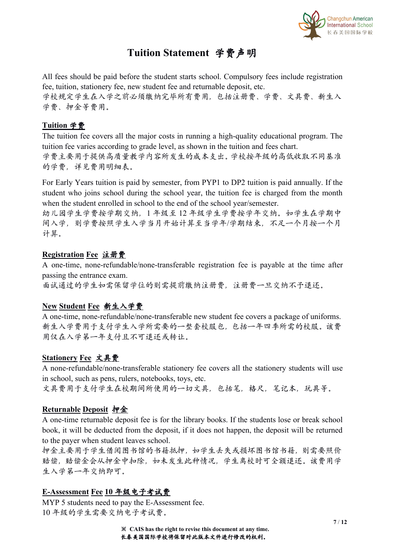

## **Tuition Statement** 学费声明

All fees should be paid before the student starts school. Compulsory fees include registration fee, tuition, stationery fee, new student fee and returnable deposit, etc.

学校规定学生在入学之前必须缴纳完毕所有费用,包括注册费、学费、文具费、新生入 学费、押金等费用。

## **Tuition** 学费

The tuition fee covers all the major costs in running a high-quality educational program. The tuition fee varies according to grade level, as shown in the tuition and fees chart.

学费主要用于提供高质量教学内容所发生的成本支出。学校按年级的高低收取不同基准 的学费,详见费用明细表。

For Early Years tuition is paid by semester, from PYP1 to DP2 tuition is paid annually. If the student who joins school during the school year, the tuition fee is charged from the month when the student enrolled in school to the end of the school year/semester.

幼儿园学生学费按学期交纳,1 年级至 12 年级学生学费按学年交纳。如学生在学期中 间入学,则学费按照学生入学当月开始计算至当学年/学期结束,不足一个月按一个月 计算。

### **Registration Fee** 注册费

A one-time, none-refundable/none-transferable registration fee is payable at the time after passing the entrance exam.

面试通过的学生如需保留学位的则需提前缴纳注册费,注册费一旦交纳不予退还。

## **New Student Fee**新生入学费

A one-time, none-refundable/none-transferable new student fee covers a package of uniforms. 新生入学费用于支付学生入学所需要的一整套校服包,包括一年四季所需的校服。该费 用仅在入学第一年支付且不可退还或转让。

## **Stationery Fee** 文具费

A none-refundable/none-transferable stationery fee covers all the stationery students will use in school, such as pens, rulers, notebooks, toys, etc.

文具费用于支付学生在校期间所使用的一切文具,包括笔,格尺,笔记本,玩具等。

## **Returnable Deposit** 押金

A one-time returnable deposit fee is for the library books. If the students lose or break school book, it will be deducted from the deposit, if it does not happen, the deposit will be returned to the payer when student leaves school.

押金主要用于学生借阅图书馆的书籍抵押,如学生丢失或损坏图书馆书籍,则需要照价 赔偿,赔偿金会从押金中扣除,如未发生此种情况,学生离校时可全额退还。该费用学 生入学第一年交纳即可。

## **E-Assessment Fee 10** 年级电子考试费

MYP 5 students need to pay the E-Assessment fee. 10 年级的学生需要交纳电子考试费。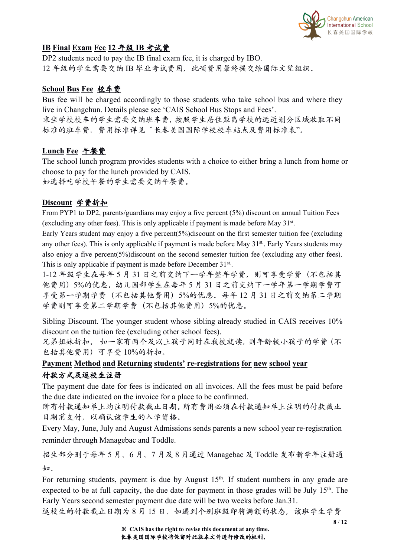

### **IB Final Exam Fee 12** 年级 **IB** 考试费

DP2 students need to pay the IB final exam fee, it is charged by IBO. 12 年级的学生需要交纳 IB 毕业考试费用, 此项费用最终提交给国际文凭组织。

### **School Bus Fee** 校车费

Bus fee will be charged accordingly to those students who take school bus and where they live in Changchun. Details please see 'CAIS School Bus Stops and Fees'. 乘坐学校校车的学生需要交纳班车费,按照学生居住距离学校的远近划分区域收取不同 标准的班车费,费用标准详见"长春美国国际学校校车站点及费用标准表"。

### **Lunch Fee** 午餐费

The school lunch program provides students with a choice to either bring a lunch from home or choose to pay for the lunch provided by CAIS. 如选择吃学校午餐的学生需要交纳午餐费。

#### **Discount** 学费折扣

From PYP1 to DP2, parents/guardians may enjoy a five percent (5%) discount on annual Tuition Fees (excluding any other fees). This is only applicable if payment is made before May 31<sup>st</sup>.

Early Years student may enjoy a five percent(5%)discount on the first semester tuition fee (excluding any other fees). This is only applicable if payment is made before May 31<sup>st</sup>. Early Years students may also enjoy a five percent( $5\%$ )discount on the second semester tuition fee (excluding any other fees). This is only applicable if payment is made before December 31<sup>st</sup>.

1-12 年级学生在每年 5 月 31 日之前交纳下一学年整年学费,则可享受学费(不包括其 他费用)5%的优惠。幼儿园部学生在每年 5 月 31 日之前交纳下一学年第一学期学费可 享受第一学期学费(不包括其他费用)5%的优惠。每年 12 月 31 日之前交纳第二学期 学费则可享受第二学期学费(不包括其他费用)5%的优惠。

Sibling Discount. The younger student whose sibling already studied in CAIS receives 10% discount on the tuition fee (excluding other school fees).

兄弟姐妹折扣。 如一家有两个及以上孩子同时在我校就读,则年龄较小孩子的学费(不 包括其他费用)可享受 10%的折扣。

## **Payment Method and Returning students' re-registrations for new school year** 付款方式及返校生注册

The payment due date for fees is indicated on all invoices. All the fees must be paid before the due date indicated on the invoice for a place to be confirmed.

所有付款通知单上均注明付款截止日期。所有费用必须在付款通知单上注明的付款截止 日期前支付,以确认该学生的入学资格。

Every May, June, July and August Admissions sends parents a new school year re-registration reminder through Managebac and Toddle.

招生部分别于每年 5 月、6 月、7 月及 8 月通过 Managebac 及 Toddle 发布新学年注册通  $\frac{1}{2}$ 

For returning students, payment is due by August 15<sup>th</sup>. If student numbers in any grade are expected to be at full capacity, the due date for payment in those grades will be July 15<sup>th</sup>. The Early Years second semester payment due date will be two weeks before Jan.31.

返校生的付款截止日期为8月15日。如遇到个别班级即将满额的状态,该班学生学费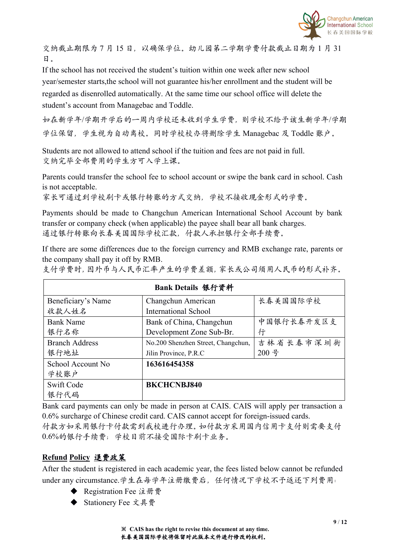

交纳截止期限为7月15日,以确保学位。幼儿园第二学期学费付款截止日期为1月31 日。

If the school has not received the student's tuition within one week after new school year/semester starts,the school will not guarantee his/her enrollment and the studentwill be regarded as disenrolled automatically. At the same time our school office will delete the student's account from Managebac and Toddle.

如在新学年/学期开学后的一周内学校还未收到学生学费,则学校不给予该生新学年/学期 学位保留,学生视为自动离校。同时学校校办将删除学生 Managebac 及 Toddle 账户。

Students are not allowed to attend school if the tuition and fees are not paid in full. 交纳完毕全部费用的学生方可入学上课。

Parents could transfer the school fee to school account or swipe the bank card in school. Cash is not acceptable.

家长可通过到学校刷卡或银行转账的方式交纳,学校不接收现金形式的学费。

Payments should be made to Changchun American International School Account by bank transfer or company check (when applicable) the payee shall bear all bank charges. 通过银行转账向长春美国国际学校汇款,付款人承担银行全部手续费。

If there are some differences due to the foreign currency and RMB exchange rate, parents or the company shall pay it off by RMB.

支付学费时,因外币与人民币汇率产生的学费差额,家长或公司须用人民币的形式补齐。

| Bank Details 银行资料     |                                    |            |  |  |
|-----------------------|------------------------------------|------------|--|--|
| Beneficiary's Name    | Changchun American                 | 长春美国国际学校   |  |  |
| 收款人姓名                 | <b>International School</b>        |            |  |  |
| <b>Bank Name</b>      | Bank of China, Changchun           | 中国银行长春开发区支 |  |  |
| 银行名称                  | Development Zone Sub-Br.           | 行          |  |  |
| <b>Branch Address</b> | No.200 Shenzhen Street, Changchun, | 吉林省长春市深圳街  |  |  |
| 银行地址                  | Jilin Province, P.R.C              | 200号       |  |  |
| School Account No     | 163616454358                       |            |  |  |
| 学校账户                  |                                    |            |  |  |
| Swift Code            | <b>BKCHCNBJ840</b>                 |            |  |  |
| 银行代码                  |                                    |            |  |  |

Bank card payments can only be made in person at CAIS. CAIS will apply per transaction a 0.6% surcharge of Chinese credit card. CAIS cannot accept for foreign-issued cards. 付款方如采用银行卡付款需到我校进行办理。如付款方采用国内信用卡支付则需要支付 0.6%的银行手续费;学校目前不接受国际卡刷卡业务。

#### **Refund Policy** 退费政策

After the student is registered in each academic year, the fees listed below cannot be refunded under any circumstance.学生在每学年注册缴费后,任何情况下学校不予返还下列费用:

- ◆ Registration Fee 注册费
- Stationery Fee 文具费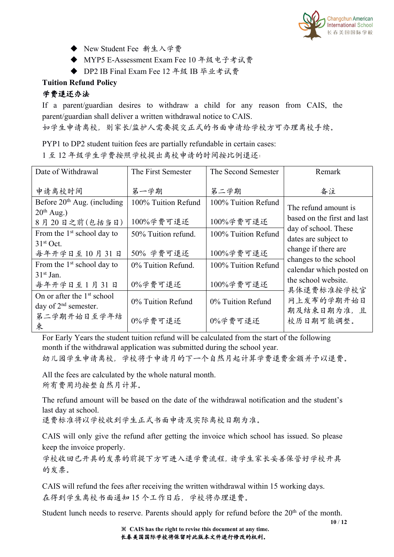

- ◆ New Student Fee 新生入学费
- ◆ MYP5 E-Assessment Exam Fee 10 年级电子考试费
- ◆ DP2 IB Final Exam Fee 12 年级 IB 毕业考试费

### **Tuition Refund Policy**

## 学费退还办法

If a parent/guardian desires to withdraw a child for any reason from CAIS, the parent/guardian shall deliver a written withdrawal notice to CAIS.

如学生申请离校,则家长/监护人需要提交正式的书面申请给学校方可办理离校手续。

PYP1 to DP2 student tuition fees are partially refundable in certain cases:

1 至 12 年级学生学费按照学校提出离校申请的时间按比例退还:

| Date of Withdrawal                                               | The First Semester               | The Second Semester              | Remark                                              |
|------------------------------------------------------------------|----------------------------------|----------------------------------|-----------------------------------------------------|
| 申请离校时间                                                           | 第一学期                             | 第二学期                             | 备注                                                  |
| Before $20th$ Aug. (including<br>$20th$ Aug.)<br>8月20日之前(包括当日)   | 100% Tuition Refund<br>100%学费可退还 | 100% Tuition Refund<br>100%学费可退还 | The refund amount is<br>based on the first and last |
| From the $1st$ school day to<br>$31st$ Oct.                      | 50% Tuition refund.              | 100% Tuition Refund              | day of school. These<br>dates are subject to        |
| 每年开学日至10月31日                                                     | 50% 学费可退还                        | 100%学费可退还                        | change if there are<br>changes to the school        |
| From the $1st$ school day to<br>$31st$ Jan.                      | 0% Tuition Refund.               | 100% Tuition Refund              | calendar which posted on<br>the school website.     |
| 每年开学日至1月31日                                                      | 0%学费可退还                          | 100%学费可退还                        | 具体退费标准按学校官                                          |
| On or after the 1 <sup>st</sup> school<br>day of $2nd$ semester. | 0% Tuition Refund                | 0% Tuition Refund                | 网上发布的学期开始日<br>期及结束日期为准,且                            |
| 第二学期开始日至学年结<br>束                                                 | 0%学费可退还                          | 0%学费可退还                          | 校历日期可能调整。                                           |

For Early Years the student tuition refund will be calculated from the start of the following month if the withdrawal application was submitted during the school year.

幼儿园学生申请离校,学校将于申请月的下一个自然月起计算学费退费金额并予以退费。

All the fees are calculated by the whole natural month. 所有费用均按整自然月计算。

The refund amount will be based on the date of the withdrawal notification and the student's last day at school.

退费标准将以学校收到学生正式书面申请及实际离校日期为准。

CAIS will only give the refund after getting the invoice which school has issued. So please keep the invoice properly.

学校收回已开具的发票的前提下方可进入退学费流程,请学生家长妥善保管好学校开具 的发票。

CAIS will refund the fees after receiving the written withdrawal within 15 working days. 在得到学生离校书面通知 15 个工作日后,学校将办理退费。

Student lunch needs to reserve. Parents should apply for refund before the 20<sup>th</sup> of the month.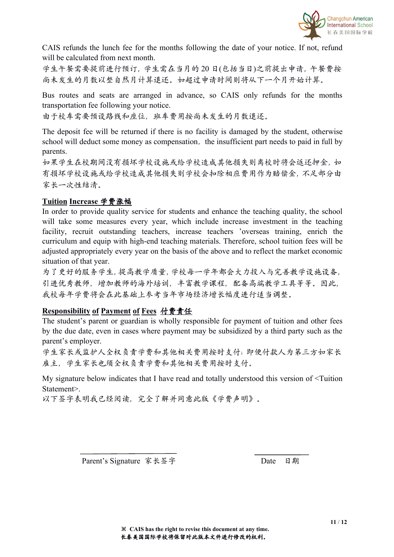

CAIS refunds the lunch fee for the months following the date of your notice. If not, refund will be calculated from next month.

学生午餐需要提前进行预订,学生需在当月的 20 日(包括当日)之前提出申请,午餐费按 尚未发生的月数以整自然月计算退还。如超过申请时间则将从下一个月开始计算。

Bus routes and seats are arranged in advance, so CAIS only refunds for the months transportation fee following your notice.

由于校车需要预设路线和座位,班车费用按尚未发生的月数退还。

The deposit fee will be returned if there is no facility is damaged by the student, otherwise school will deduct some money as compensation, the insufficient part needs to paid in full by parents.

如果学生在校期间没有损坏学校设施或给学校造成其他损失则离校时将会返还押金,如 有损坏学校设施或给学校造成其他损失则学校会扣除相应费用作为赔偿金,不足部分由 家长一次性结清。

#### **Tuition Increase** 学费涨幅

In order to provide quality service for students and enhance the teaching quality, the school will take some measures every year, which include increase investment in the teaching facility, recruit outstanding teachers, increase teachers 'overseas training, enrich the curriculum and equip with high-end teaching materials. Therefore, school tuition fees will be adjusted appropriately every year on the basis of the above and to reflect the market economic situation of that year.

为了更好的服务学生,提高教学质量,学校每一学年都会大力投入与完善教学设施设备, 引进优秀教师,增加教师的海外培训,丰富教学课程,配备高端教学工具等等。因此, 我校每年学费将会在此基础上参考当年市场经济增长幅度进行适当调整。

#### **Responsibility of Payment of Fees** 付费责任

The student's parent or guardian is wholly responsible for payment of tuition and other fees by the due date, even in cases where payment may be subsidized by a third party such as the parent's employer.

学生家长或监护人全权负责学费和其他相关费用按时支付;即便付款人为第三方如家长 雇主,学生家长也须全权负责学费和其他相关费用按时支付。

My signature below indicates that I have read and totally understood this version of <Tuition Statement>.

以下签字表明我已经阅读,完全了解并同意此版《学费声明》。

Parent's Signature 家长签字 Date 日期